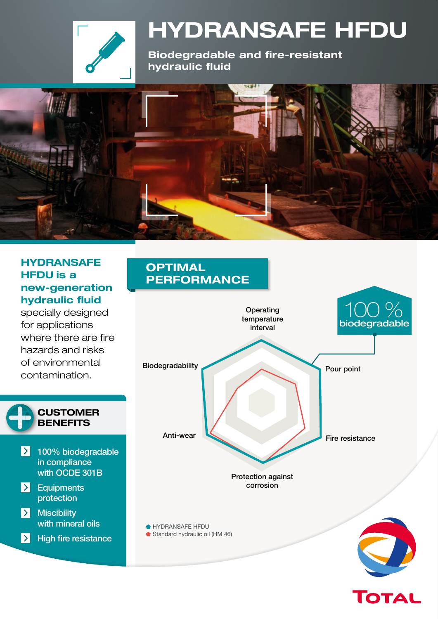

# **HYDRANSAFE HFDU**

**Biodegradable and fire-resistant hydraulic fluid**



#### **HYDRANSAFE HFDU is a new-generation hydraulic fluid**

specially designed for applications where there are fire hazards and risks of environmental contamination.



# 100 % **OPTIMAL PERFORMANCE** Biodegradability Anti-wear Pour point Fire resistance **Operating** temperature interval HYDRANSAFE HFDU Standard hydraulic oil (HM 46) biodegradable Protection against corrosion

**TOTAL**